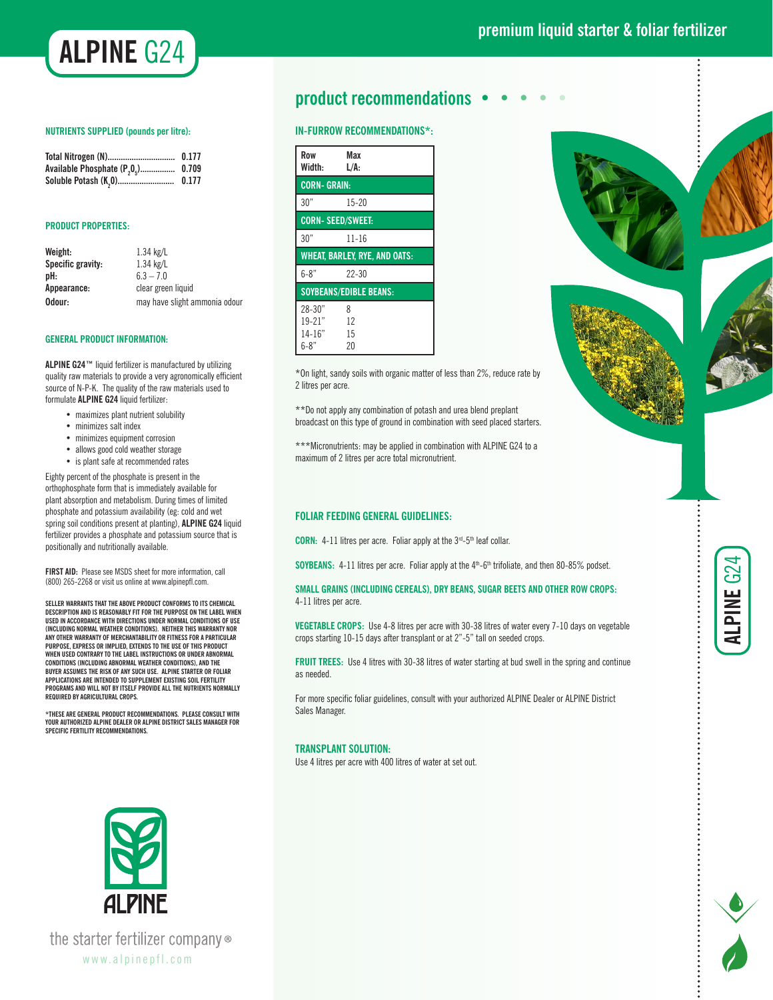

#### **NUTRIENTS SUPPLIED (pounds per litre):**

| Total Nitrogen (N)                                | 0.177 |
|---------------------------------------------------|-------|
| Available Phosphate (P <sub>20<sub>5</sub>)</sub> | 0.709 |
| Soluble Potash (K <sub>2</sub> 0)                 | 0.177 |

#### **PRODUCT PROPERTIES:**

| Weight:           | $1.34$ kg/L                   |
|-------------------|-------------------------------|
| Specific gravity: | $1.34$ kg/L                   |
| pH:               | $63 - 7.0$                    |
| Appearance:       | clear green liquid            |
| Odour:            | may have slight ammonia odour |

#### **GENERAL PRODUCT INFORMATION:**

**ALPINE G24™** liquid fertilizer is manufactured by utilizing quality raw materials to provide a very agronomically efficient source of N-P-K. The quality of the raw materials used to formulate **ALPINE G24** liquid fertilizer:

- maximizes plant nutrient solubility
- minimizes salt index
- minimizes equipment corrosion
- allows good cold weather storage
- is plant safe at recommended rates

Eighty percent of the phosphate is present in the orthophosphate form that is immediately available for plant absorption and metabolism. During times of limited phosphate and potassium availability (eg: cold and wet spring soil conditions present at planting), **ALPINE G24** liquid fertilizer provides a phosphate and potassium source that is positionally and nutritionally available.

**FIRST AID:** Please see MSDS sheet for more information, call (800) 265-2268 or visit us online at www.alpinepfl.com.

**SELLER WARRANTS THAT THE ABOVE PRODUCT CONFORMS TO ITS CHEMICAL DESCRIPTION AND IS REASONABLY FIT FOR THE PURPOSE ON THE LABEL WHEN USED IN ACCORDANCE WITH DIRECTIONS UNDER NORMAL CONDITIONS OF USE (INCLUDING NORMAL WEATHER CONDITIONS). NEITHER THIS WARRANTY NOR ANY OTHER WARRANTY OF MERCHANTABILITY OR FITNESS FOR A PARTICULAR PURPOSE, EXPRESS OR IMPLIED, EXTENDS TO THE USE OF THIS PRODUCT WHEN USED CONTRARY TO THE LABEL INSTRUCTIONS OR UNDER ABNORMAL CONDITIONS (INCLUDING ABNORMAL WEATHER CONDITIONS), AND THE BUYER ASSUMES THE RISK OF ANY SUCH USE. ALPINE STARTER OR FOLIAR APPLICATIONS ARE INTENDED TO SUPPLEMENT EXISTING SOIL FERTILITY PROGRAMS AND WILL NOT BY ITSELF PROVIDE ALL THE NUTRIENTS NORMALLY REQUIRED BY AGRICULTURAL CROPS.**

**\*THESE ARE GENERAL PRODUCT RECOMMENDATIONS. PLEASE CONSULT WITH YOUR AUTHORIZED ALPINE DEALER OR ALPINE DISTRICT SALES MANAGER FOR SPECIFIC FERTILITY RECOMMENDATIONS.**

# **product recommendations • • • • •**

### **IN-FURROW RECOMMENDATIONS\*:**

| Row                                  | Max                           |
|--------------------------------------|-------------------------------|
| Width:                               | L/A:                          |
| <b>CORN-GRAIN:</b>                   |                               |
| 30"                                  | $15 - 20$                     |
| <b>CORN-SEED/SWEET:</b>              |                               |
| 30"                                  | $11 - 16$                     |
| <b>WHEAT. BARLEY. RYE. AND OATS:</b> |                               |
|                                      |                               |
| $6 - 8"$                             | $22 - 30$                     |
|                                      | <b>SOYBEANS/EDIBLE BEANS:</b> |
| $28 - 30"$                           | 8                             |
| $19 - 21"$                           | 12                            |
| $14 - 16"$                           | 15                            |



**ALPINE** G24

Ζ

\*On light, sandy soils with organic matter of less than 2%, reduce rate by 2 litres per acre.

\*\*Do not apply any combination of potash and urea blend preplant broadcast on this type of ground in combination with seed placed starters.

\*\*\*Micronutrients: may be applied in combination with ALPINE G24 to a maximum of 2 litres per acre total micronutrient.

## **FOLIAR FEEDING GENERAL GUIDELINES:**

**CORN:** 4-11 litres per acre. Foliar apply at the 3<sup>rd</sup>-5<sup>th</sup> leaf collar.

**SOYBEANS:** 4-11 litres per acre. Foliar apply at the 4<sup>th</sup>-6<sup>th</sup> trifoliate, and then 80-85% podset.

**SMALL GRAINS (INCLUDING CEREALS), DRY BEANS, SUGAR BEETS AND OTHER ROW CROPS:**  4-11 litres per acre.

**VEGETABLE CROPS:** Use 4-8 litres per acre with 30-38 litres of water every 7-10 days on vegetable crops starting 10-15 days after transplant or at 2"-5" tall on seeded crops.

**FRUIT TREES:** Use 4 litres with 30-38 litres of water starting at bud swell in the spring and continue as needed.

For more specific foliar guidelines, consult with your authorized ALPINE Dealer or ALPINE District Sales Manager.

#### **TRANSPLANT SOLUTION:**

Use 4 litres per acre with 400 litres of water at set out.



the starter fertilizer company® www.alpinepfl.com